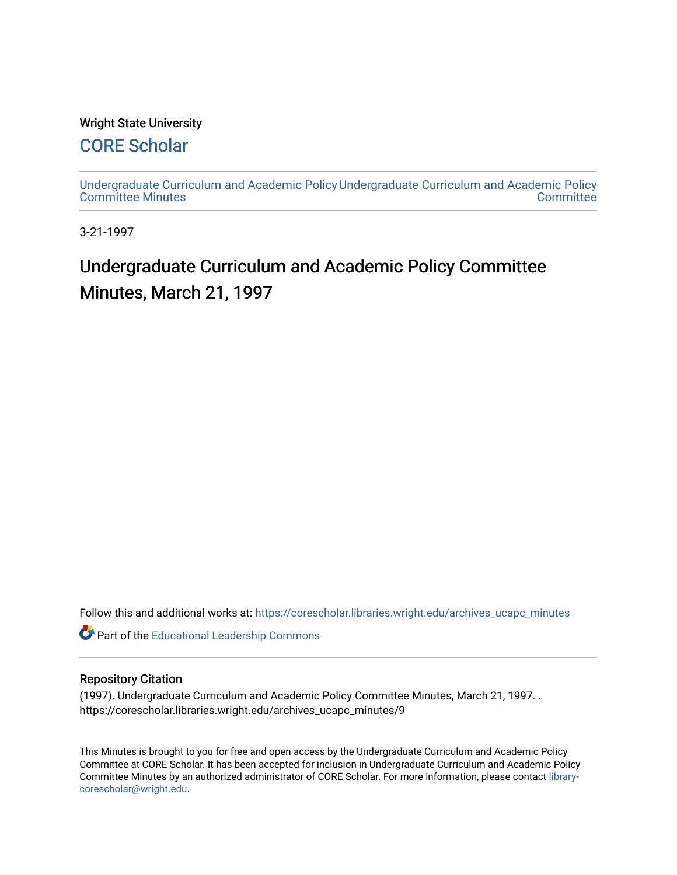#### Wright State University

### [CORE Scholar](https://corescholar.libraries.wright.edu/)

[Undergraduate Curriculum and Academic Policy](https://corescholar.libraries.wright.edu/archives_ucapc_minutes) [Undergraduate Curriculum and Academic Policy](https://corescholar.libraries.wright.edu/archives_ucapc)  [Committee Minutes](https://corescholar.libraries.wright.edu/archives_ucapc_minutes) **Committee** 

3-21-1997

## Undergraduate Curriculum and Academic Policy Committee Minutes, March 21, 1997

Follow this and additional works at: [https://corescholar.libraries.wright.edu/archives\\_ucapc\\_minutes](https://corescholar.libraries.wright.edu/archives_ucapc_minutes?utm_source=corescholar.libraries.wright.edu%2Farchives_ucapc_minutes%2F9&utm_medium=PDF&utm_campaign=PDFCoverPages) 

Part of the [Educational Leadership Commons](http://network.bepress.com/hgg/discipline/1230?utm_source=corescholar.libraries.wright.edu%2Farchives_ucapc_minutes%2F9&utm_medium=PDF&utm_campaign=PDFCoverPages) 

#### Repository Citation

(1997). Undergraduate Curriculum and Academic Policy Committee Minutes, March 21, 1997. . https://corescholar.libraries.wright.edu/archives\_ucapc\_minutes/9

This Minutes is brought to you for free and open access by the Undergraduate Curriculum and Academic Policy Committee at CORE Scholar. It has been accepted for inclusion in Undergraduate Curriculum and Academic Policy Committee Minutes by an authorized administrator of CORE Scholar. For more information, please contact [library](mailto:library-corescholar@wright.edu)[corescholar@wright.edu](mailto:library-corescholar@wright.edu).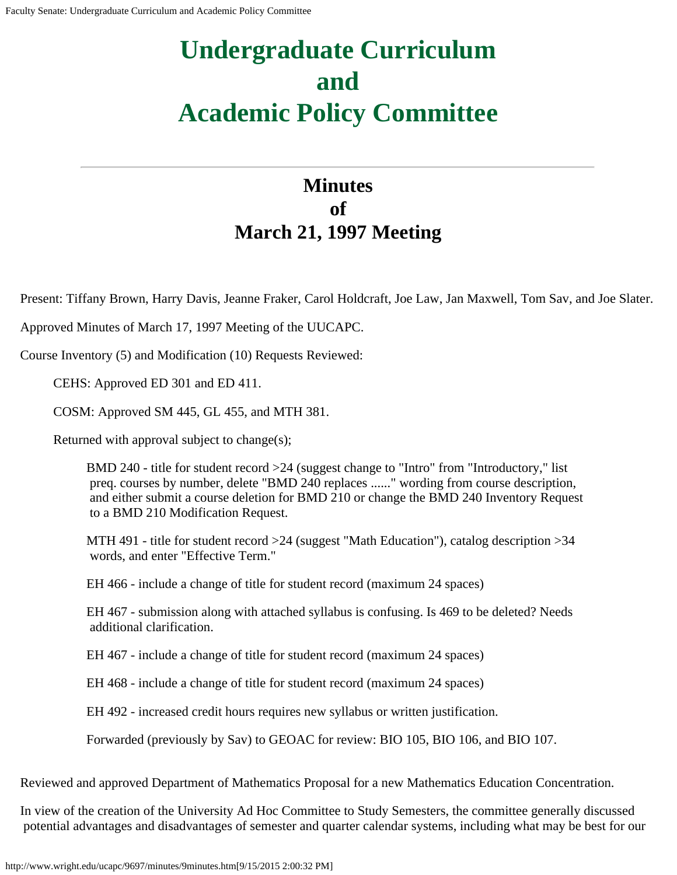# **Undergraduate Curriculum and Academic Policy Committee**

## **Minutes of March 21, 1997 Meeting**

Present: Tiffany Brown, Harry Davis, Jeanne Fraker, Carol Holdcraft, Joe Law, Jan Maxwell, Tom Sav, and Joe Slater.

Approved Minutes of March 17, 1997 Meeting of the UUCAPC.

Course Inventory (5) and Modification (10) Requests Reviewed:

CEHS: Approved ED 301 and ED 411.

COSM: Approved SM 445, GL 455, and MTH 381.

Returned with approval subject to change(s);

BMD 240 - title for student record >24 (suggest change to "Intro" from "Introductory," list preq. courses by number, delete "BMD 240 replaces ......" wording from course description, and either submit a course deletion for BMD 210 or change the BMD 240 Inventory Request to a BMD 210 Modification Request.

MTH 491 - title for student record >24 (suggest "Math Education"), catalog description >34 words, and enter "Effective Term."

EH 466 - include a change of title for student record (maximum 24 spaces)

EH 467 - submission along with attached syllabus is confusing. Is 469 to be deleted? Needs additional clarification.

EH 467 - include a change of title for student record (maximum 24 spaces)

EH 468 - include a change of title for student record (maximum 24 spaces)

EH 492 - increased credit hours requires new syllabus or written justification.

Forwarded (previously by Sav) to GEOAC for review: BIO 105, BIO 106, and BIO 107.

Reviewed and approved Department of Mathematics Proposal for a new Mathematics Education Concentration.

In view of the creation of the University Ad Hoc Committee to Study Semesters, the committee generally discussed potential advantages and disadvantages of semester and quarter calendar systems, including what may be best for our